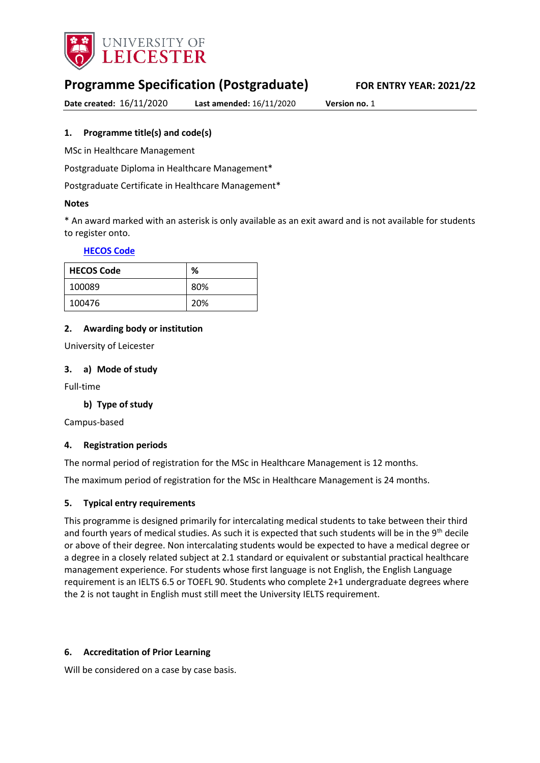

# **Programme Specification (Postgraduate) FOR ENTRY YEAR: 2021/22**

**Date created:** 16/11/2020 **Last amended:** 16/11/2020 **Version no.** 1

### <span id="page-0-0"></span>**1. Programme title(s) and code(s)**

MSc in Healthcare Management

Postgraduate Diploma in Healthcare Management\*

Postgraduate Certificate in Healthcare Management\*

### **Notes**

\* An award marked with an asterisk is only available as an exit award and is not available for students to register onto.

### **[HECOS Code](https://www.hesa.ac.uk/innovation/hecos)**

| <b>HECOS Code</b> | %   |
|-------------------|-----|
| 100089            | 80% |
| 100476            | 20% |

### **2. Awarding body or institution**

University of Leicester

### **3. a) Mode of study**

Full-time

### **b) Type of study**

Campus-based

#### **4. Registration periods**

The normal period of registration for the MSc in Healthcare Management is 12 months.

The maximum period of registration for the MSc in Healthcare Management is 24 months.

#### **5. Typical entry requirements**

This programme is designed primarily for intercalating medical students to take between their third and fourth years of medical studies. As such it is expected that such students will be in the 9<sup>th</sup> decile or above of their degree. Non intercalating students would be expected to have a medical degree or a degree in a closely related subject at 2.1 standard or equivalent or substantial practical healthcare management experience. For students whose first language is not English, the English Language requirement is an IELTS 6.5 or TOEFL 90. Students who complete 2+1 undergraduate degrees where the 2 is not taught in English must still meet the University IELTS requirement.

#### **6. Accreditation of Prior Learning**

Will be considered on a case by case basis.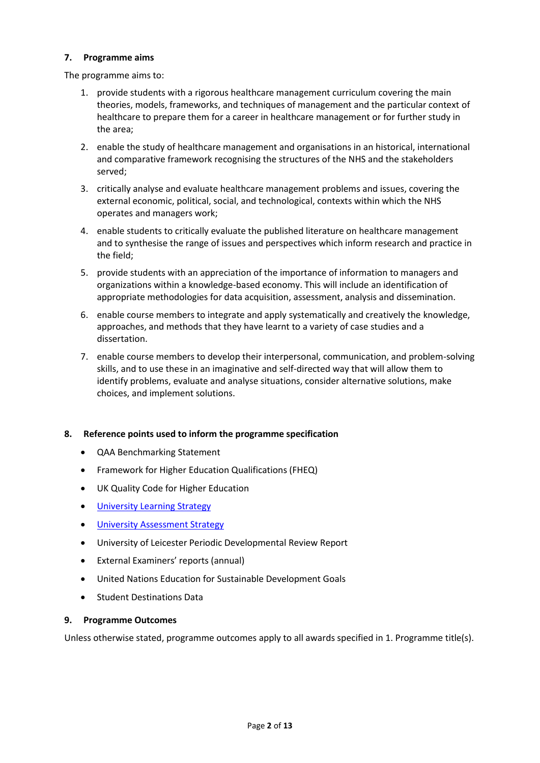### **7. Programme aims**

The programme aims to:

- 1. provide students with a rigorous healthcare management curriculum covering the main theories, models, frameworks, and techniques of management and the particular context of healthcare to prepare them for a career in healthcare management or for further study in the area;
- 2. enable the study of healthcare management and organisations in an historical, international and comparative framework recognising the structures of the NHS and the stakeholders served;
- 3. critically analyse and evaluate healthcare management problems and issues, covering the external economic, political, social, and technological, contexts within which the NHS operates and managers work;
- 4. enable students to critically evaluate the published literature on healthcare management and to synthesise the range of issues and perspectives which inform research and practice in the field;
- 5. provide students with an appreciation of the importance of information to managers and organizations within a knowledge-based economy. This will include an identification of appropriate methodologies for data acquisition, assessment, analysis and dissemination.
- 6. enable course members to integrate and apply systematically and creatively the knowledge, approaches, and methods that they have learnt to a variety of case studies and a dissertation.
- 7. enable course members to develop their interpersonal, communication, and problem-solving skills, and to use these in an imaginative and self-directed way that will allow them to identify problems, evaluate and analyse situations, consider alternative solutions, make choices, and implement solutions.

### **8. Reference points used to inform the programme specification**

- QAA Benchmarking Statement
- Framework for Higher Education Qualifications (FHEQ)
- UK Quality Code for Higher Education
- **•** [University Learning](https://www2.le.ac.uk/offices/sas2/quality/learnteach) Strategy
- [University Assessment Strategy](https://www2.le.ac.uk/offices/sas2/quality/learnteach)
- University of Leicester Periodic Developmental Review Report
- External Examiners' reports (annual)
- United Nations Education for Sustainable Development Goals
- Student Destinations Data

#### **9. Programme Outcomes**

Unless otherwise stated, programme outcomes apply to all awards specified in [1.](#page-0-0) Programme title(s).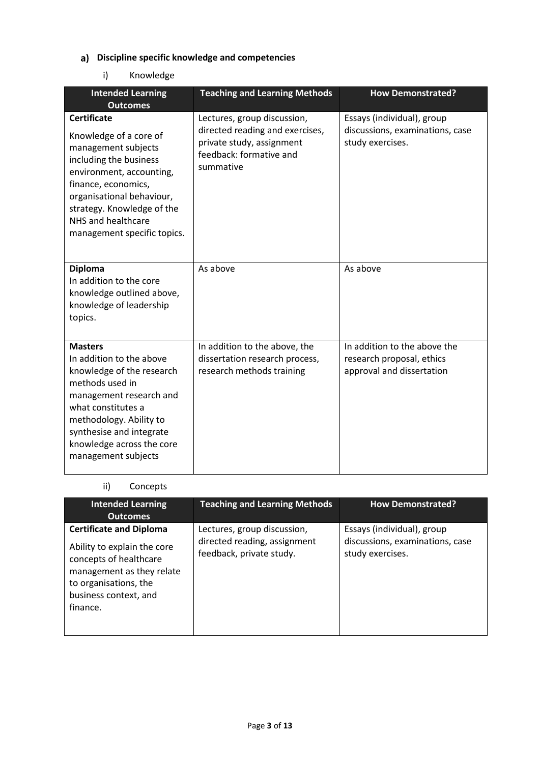# **Discipline specific knowledge and competencies**

### i) Knowledge

| <b>Intended Learning</b><br><b>Outcomes</b>                                                                                                                                                                                                                      | <b>Teaching and Learning Methods</b>                                                                                                | <b>How Demonstrated?</b>                                                               |
|------------------------------------------------------------------------------------------------------------------------------------------------------------------------------------------------------------------------------------------------------------------|-------------------------------------------------------------------------------------------------------------------------------------|----------------------------------------------------------------------------------------|
| <b>Certificate</b><br>Knowledge of a core of<br>management subjects<br>including the business<br>environment, accounting,<br>finance, economics,<br>organisational behaviour,<br>strategy. Knowledge of the<br>NHS and healthcare<br>management specific topics. | Lectures, group discussion,<br>directed reading and exercises,<br>private study, assignment<br>feedback: formative and<br>summative | Essays (individual), group<br>discussions, examinations, case<br>study exercises.      |
| <b>Diploma</b><br>In addition to the core<br>knowledge outlined above,<br>knowledge of leadership<br>topics.                                                                                                                                                     | As above                                                                                                                            | As above                                                                               |
| <b>Masters</b><br>In addition to the above<br>knowledge of the research<br>methods used in<br>management research and<br>what constitutes a<br>methodology. Ability to<br>synthesise and integrate<br>knowledge across the core<br>management subjects           | In addition to the above, the<br>dissertation research process,<br>research methods training                                        | In addition to the above the<br>research proposal, ethics<br>approval and dissertation |

### ii) Concepts

| <b>Intended Learning</b><br><b>Outcomes</b>                                                                                                                                        | <b>Teaching and Learning Methods</b>                                                    | <b>How Demonstrated?</b>                                                          |
|------------------------------------------------------------------------------------------------------------------------------------------------------------------------------------|-----------------------------------------------------------------------------------------|-----------------------------------------------------------------------------------|
| <b>Certificate and Diploma</b><br>Ability to explain the core<br>concepts of healthcare<br>management as they relate<br>to organisations, the<br>business context, and<br>finance. | Lectures, group discussion,<br>directed reading, assignment<br>feedback, private study. | Essays (individual), group<br>discussions, examinations, case<br>study exercises. |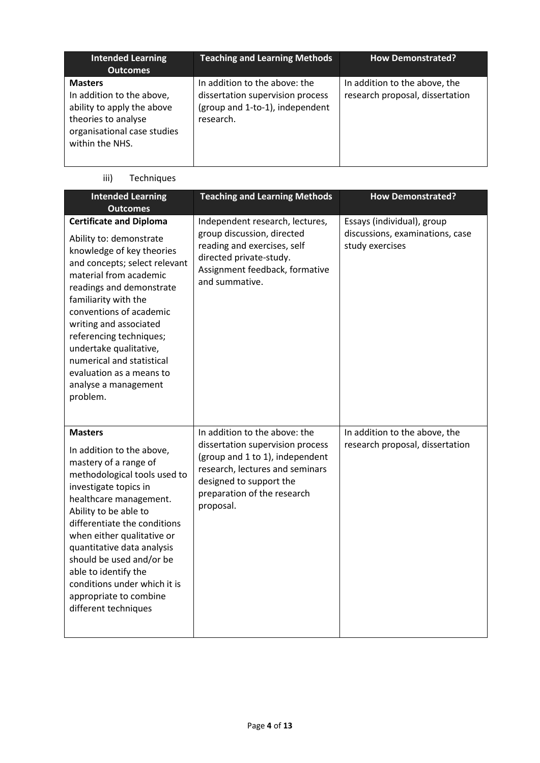| <b>Intended Learning</b><br><b>Outcomes</b>                                                                                                        | <b>Teaching and Learning Methods</b>                                                                              | <b>How Demonstrated?</b>                                         |
|----------------------------------------------------------------------------------------------------------------------------------------------------|-------------------------------------------------------------------------------------------------------------------|------------------------------------------------------------------|
| <b>Masters</b><br>In addition to the above,<br>ability to apply the above<br>theories to analyse<br>organisational case studies<br>within the NHS. | In addition to the above: the<br>dissertation supervision process<br>(group and 1-to-1), independent<br>research. | In addition to the above, the<br>research proposal, dissertation |

# iii) Techniques

| <b>Intended Learning</b><br><b>Outcomes</b>                                                                                                                                                                                                                                                                                                                                                                        | <b>Teaching and Learning Methods</b>                                                                                                                                                                           | <b>How Demonstrated?</b>                                                         |
|--------------------------------------------------------------------------------------------------------------------------------------------------------------------------------------------------------------------------------------------------------------------------------------------------------------------------------------------------------------------------------------------------------------------|----------------------------------------------------------------------------------------------------------------------------------------------------------------------------------------------------------------|----------------------------------------------------------------------------------|
| <b>Certificate and Diploma</b><br>Ability to: demonstrate<br>knowledge of key theories<br>and concepts; select relevant<br>material from academic<br>readings and demonstrate<br>familiarity with the<br>conventions of academic<br>writing and associated<br>referencing techniques;<br>undertake qualitative,<br>numerical and statistical<br>evaluation as a means to<br>analyse a management<br>problem.       | Independent research, lectures,<br>group discussion, directed<br>reading and exercises, self<br>directed private-study.<br>Assignment feedback, formative<br>and summative.                                    | Essays (individual), group<br>discussions, examinations, case<br>study exercises |
| <b>Masters</b><br>In addition to the above,<br>mastery of a range of<br>methodological tools used to<br>investigate topics in<br>healthcare management.<br>Ability to be able to<br>differentiate the conditions<br>when either qualitative or<br>quantitative data analysis<br>should be used and/or be<br>able to identify the<br>conditions under which it is<br>appropriate to combine<br>different techniques | In addition to the above: the<br>dissertation supervision process<br>(group and 1 to 1), independent<br>research, lectures and seminars<br>designed to support the<br>preparation of the research<br>proposal. | In addition to the above, the<br>research proposal, dissertation                 |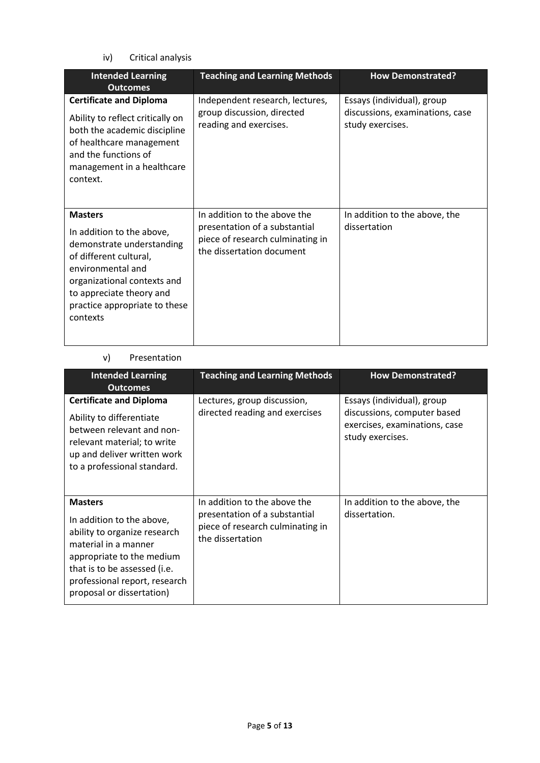iv) Critical analysis

| <b>Intended Learning</b><br><b>Outcomes</b>                                                                                                                                                                                     | <b>Teaching and Learning Methods</b>                                                                                           | <b>How Demonstrated?</b>                                                          |
|---------------------------------------------------------------------------------------------------------------------------------------------------------------------------------------------------------------------------------|--------------------------------------------------------------------------------------------------------------------------------|-----------------------------------------------------------------------------------|
| <b>Certificate and Diploma</b><br>Ability to reflect critically on<br>both the academic discipline<br>of healthcare management<br>and the functions of<br>management in a healthcare<br>context.                                | Independent research, lectures,<br>group discussion, directed<br>reading and exercises.                                        | Essays (individual), group<br>discussions, examinations, case<br>study exercises. |
| <b>Masters</b><br>In addition to the above,<br>demonstrate understanding<br>of different cultural,<br>environmental and<br>organizational contexts and<br>to appreciate theory and<br>practice appropriate to these<br>contexts | In addition to the above the<br>presentation of a substantial<br>piece of research culminating in<br>the dissertation document | In addition to the above, the<br>dissertation                                     |

#### v) Presentation

| <b>Intended Learning</b><br><b>Outcomes</b>                                                                                                                                                                                    | <b>Teaching and Learning Methods</b>                                                                                  | <b>How Demonstrated?</b>                                                                                       |
|--------------------------------------------------------------------------------------------------------------------------------------------------------------------------------------------------------------------------------|-----------------------------------------------------------------------------------------------------------------------|----------------------------------------------------------------------------------------------------------------|
| <b>Certificate and Diploma</b><br>Ability to differentiate<br>between relevant and non-<br>relevant material; to write<br>up and deliver written work<br>to a professional standard.                                           | Lectures, group discussion,<br>directed reading and exercises                                                         | Essays (individual), group<br>discussions, computer based<br>exercises, examinations, case<br>study exercises. |
| <b>Masters</b><br>In addition to the above,<br>ability to organize research<br>material in a manner<br>appropriate to the medium<br>that is to be assessed (i.e.<br>professional report, research<br>proposal or dissertation) | In addition to the above the<br>presentation of a substantial<br>piece of research culminating in<br>the dissertation | In addition to the above, the<br>dissertation.                                                                 |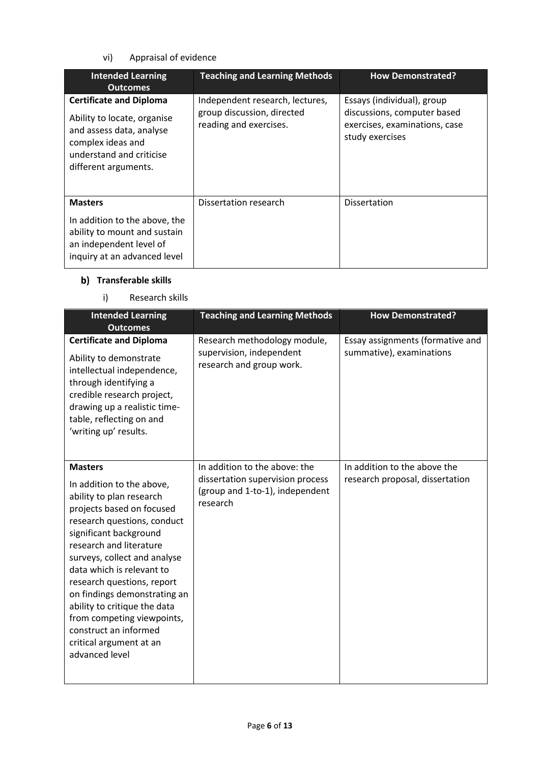### vi) Appraisal of evidence

| <b>Intended Learning</b><br><b>Outcomes</b>                                                                                                                        | <b>Teaching and Learning Methods</b>                                                    | <b>How Demonstrated?</b>                                                                                      |
|--------------------------------------------------------------------------------------------------------------------------------------------------------------------|-----------------------------------------------------------------------------------------|---------------------------------------------------------------------------------------------------------------|
| <b>Certificate and Diploma</b><br>Ability to locate, organise<br>and assess data, analyse<br>complex ideas and<br>understand and criticise<br>different arguments. | Independent research, lectures,<br>group discussion, directed<br>reading and exercises. | Essays (individual), group<br>discussions, computer based<br>exercises, examinations, case<br>study exercises |
| <b>Masters</b><br>In addition to the above, the<br>ability to mount and sustain<br>an independent level of<br>inquiry at an advanced level                         | Dissertation research                                                                   | <b>Dissertation</b>                                                                                           |

### **Transferable skills**

### i) Research skills

| <b>Intended Learning</b><br><b>Outcomes</b>                                                                                                                                                                                                                                                                                                                                                                                                             | <b>Teaching and Learning Methods</b>                                                                             | <b>How Demonstrated?</b>                                        |
|---------------------------------------------------------------------------------------------------------------------------------------------------------------------------------------------------------------------------------------------------------------------------------------------------------------------------------------------------------------------------------------------------------------------------------------------------------|------------------------------------------------------------------------------------------------------------------|-----------------------------------------------------------------|
| <b>Certificate and Diploma</b><br>Ability to demonstrate<br>intellectual independence,<br>through identifying a<br>credible research project,<br>drawing up a realistic time-<br>table, reflecting on and<br>'writing up' results.                                                                                                                                                                                                                      | Research methodology module,<br>supervision, independent<br>research and group work.                             | Essay assignments (formative and<br>summative), examinations    |
| <b>Masters</b><br>In addition to the above,<br>ability to plan research<br>projects based on focused<br>research questions, conduct<br>significant background<br>research and literature<br>surveys, collect and analyse<br>data which is relevant to<br>research questions, report<br>on findings demonstrating an<br>ability to critique the data<br>from competing viewpoints,<br>construct an informed<br>critical argument at an<br>advanced level | In addition to the above: the<br>dissertation supervision process<br>(group and 1-to-1), independent<br>research | In addition to the above the<br>research proposal, dissertation |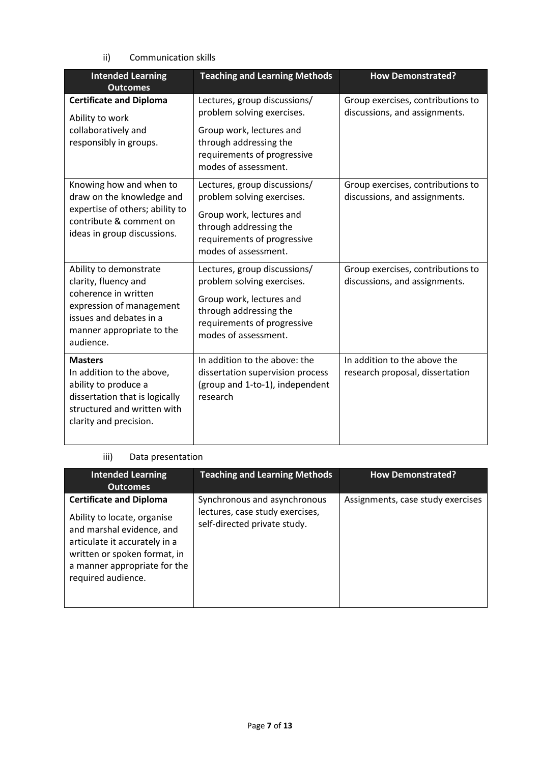ii) Communication skills

| <b>Intended Learning</b><br><b>Outcomes</b>                                                                                                                             | <b>Teaching and Learning Methods</b>                                                                                                                                    | <b>How Demonstrated?</b>                                           |
|-------------------------------------------------------------------------------------------------------------------------------------------------------------------------|-------------------------------------------------------------------------------------------------------------------------------------------------------------------------|--------------------------------------------------------------------|
| <b>Certificate and Diploma</b><br>Ability to work                                                                                                                       | Lectures, group discussions/<br>problem solving exercises.                                                                                                              | Group exercises, contributions to<br>discussions, and assignments. |
| collaboratively and<br>responsibly in groups.                                                                                                                           | Group work, lectures and<br>through addressing the<br>requirements of progressive<br>modes of assessment.                                                               |                                                                    |
| Knowing how and when to<br>draw on the knowledge and<br>expertise of others; ability to<br>contribute & comment on<br>ideas in group discussions.                       | Lectures, group discussions/<br>problem solving exercises.<br>Group work, lectures and<br>through addressing the<br>requirements of progressive<br>modes of assessment. | Group exercises, contributions to<br>discussions, and assignments. |
| Ability to demonstrate<br>clarity, fluency and<br>coherence in written<br>expression of management<br>issues and debates in a<br>manner appropriate to the<br>audience. | Lectures, group discussions/<br>problem solving exercises.<br>Group work, lectures and<br>through addressing the<br>requirements of progressive<br>modes of assessment. | Group exercises, contributions to<br>discussions, and assignments. |
| <b>Masters</b><br>In addition to the above,<br>ability to produce a<br>dissertation that is logically<br>structured and written with<br>clarity and precision.          | In addition to the above: the<br>dissertation supervision process<br>(group and 1-to-1), independent<br>research                                                        | In addition to the above the<br>research proposal, dissertation    |

### iii) Data presentation

| <b>Intended Learning</b><br><b>Outcomes</b>                                                                                                                                                                       | <b>Teaching and Learning Methods</b>                                                            | <b>How Demonstrated?</b>          |
|-------------------------------------------------------------------------------------------------------------------------------------------------------------------------------------------------------------------|-------------------------------------------------------------------------------------------------|-----------------------------------|
| <b>Certificate and Diploma</b><br>Ability to locate, organise<br>and marshal evidence, and<br>articulate it accurately in a<br>written or spoken format, in<br>a manner appropriate for the<br>required audience. | Synchronous and asynchronous<br>lectures, case study exercises,<br>self-directed private study. | Assignments, case study exercises |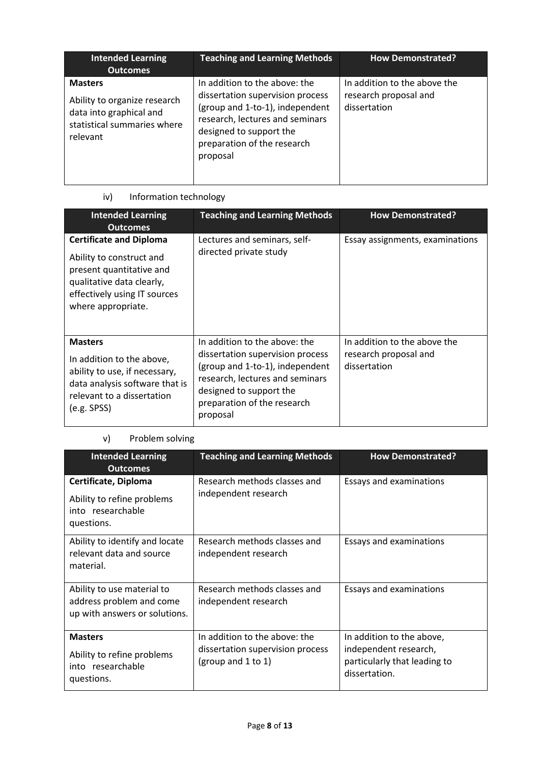| <b>Intended Learning</b><br><b>Outcomes</b>                                                                          | <b>Teaching and Learning Methods</b>                                                                                                                                                                          | <b>How Demonstrated?</b>                                              |
|----------------------------------------------------------------------------------------------------------------------|---------------------------------------------------------------------------------------------------------------------------------------------------------------------------------------------------------------|-----------------------------------------------------------------------|
| <b>Masters</b><br>Ability to organize research<br>data into graphical and<br>statistical summaries where<br>relevant | In addition to the above: the<br>dissertation supervision process<br>(group and 1-to-1), independent<br>research, lectures and seminars<br>designed to support the<br>preparation of the research<br>proposal | In addition to the above the<br>research proposal and<br>dissertation |

# iv) Information technology

| <b>Intended Learning</b><br><b>Outcomes</b>                                                                                                                               | <b>Teaching and Learning Methods</b>                                                                                                                                                                          | <b>How Demonstrated?</b>                                              |
|---------------------------------------------------------------------------------------------------------------------------------------------------------------------------|---------------------------------------------------------------------------------------------------------------------------------------------------------------------------------------------------------------|-----------------------------------------------------------------------|
| <b>Certificate and Diploma</b><br>Ability to construct and<br>present quantitative and<br>qualitative data clearly,<br>effectively using IT sources<br>where appropriate. | Lectures and seminars, self-<br>directed private study                                                                                                                                                        | Essay assignments, examinations                                       |
| <b>Masters</b><br>In addition to the above,<br>ability to use, if necessary,<br>data analysis software that is<br>relevant to a dissertation<br>(e.g. SPSS)               | In addition to the above: the<br>dissertation supervision process<br>(group and 1-to-1), independent<br>research, lectures and seminars<br>designed to support the<br>preparation of the research<br>proposal | In addition to the above the<br>research proposal and<br>dissertation |

### v) Problem solving

| <b>Intended Learning</b><br><b>Outcomes</b>                                             | <b>Teaching and Learning Methods</b>                                                    | <b>How Demonstrated?</b>                                                                            |
|-----------------------------------------------------------------------------------------|-----------------------------------------------------------------------------------------|-----------------------------------------------------------------------------------------------------|
| Certificate, Diploma<br>Ability to refine problems<br>into researchable<br>questions.   | Research methods classes and<br>independent research                                    | Essays and examinations                                                                             |
| Ability to identify and locate<br>relevant data and source<br>material.                 | Research methods classes and<br>independent research                                    | Essays and examinations                                                                             |
| Ability to use material to<br>address problem and come<br>up with answers or solutions. | Research methods classes and<br>independent research                                    | Essays and examinations                                                                             |
| <b>Masters</b><br>Ability to refine problems<br>into researchable<br>questions.         | In addition to the above: the<br>dissertation supervision process<br>(group and 1 to 1) | In addition to the above,<br>independent research,<br>particularly that leading to<br>dissertation. |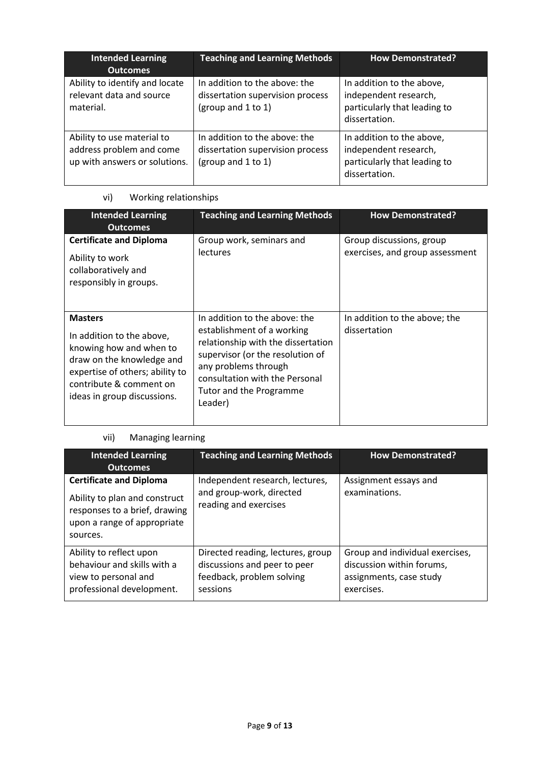| <b>Intended Learning</b><br><b>Outcomes</b>                                             | <b>Teaching and Learning Methods</b>                                                    | <b>How Demonstrated?</b>                                                                            |
|-----------------------------------------------------------------------------------------|-----------------------------------------------------------------------------------------|-----------------------------------------------------------------------------------------------------|
| Ability to identify and locate<br>relevant data and source<br>material.                 | In addition to the above: the<br>dissertation supervision process<br>(group and 1 to 1) | In addition to the above,<br>independent research,<br>particularly that leading to<br>dissertation. |
| Ability to use material to<br>address problem and come<br>up with answers or solutions. | In addition to the above: the<br>dissertation supervision process<br>(group and 1 to 1) | In addition to the above,<br>independent research,<br>particularly that leading to<br>dissertation. |

### vi) Working relationships

| <b>Intended Learning</b><br><b>Outcomes</b>                                                                                                                                                      | <b>Teaching and Learning Methods</b>                                                                                                                                                                                                  | <b>How Demonstrated?</b>                                    |
|--------------------------------------------------------------------------------------------------------------------------------------------------------------------------------------------------|---------------------------------------------------------------------------------------------------------------------------------------------------------------------------------------------------------------------------------------|-------------------------------------------------------------|
| <b>Certificate and Diploma</b><br>Ability to work<br>collaboratively and<br>responsibly in groups.                                                                                               | Group work, seminars and<br><b>lectures</b>                                                                                                                                                                                           | Group discussions, group<br>exercises, and group assessment |
| <b>Masters</b><br>In addition to the above,<br>knowing how and when to<br>draw on the knowledge and<br>expertise of others; ability to<br>contribute & comment on<br>ideas in group discussions. | In addition to the above: the<br>establishment of a working<br>relationship with the dissertation<br>supervisor (or the resolution of<br>any problems through<br>consultation with the Personal<br>Tutor and the Programme<br>Leader) | In addition to the above; the<br>dissertation               |

# vii) Managing learning

| <b>Intended Learning</b><br><b>Outcomes</b>                                                                                                 | <b>Teaching and Learning Methods</b>                                                                       | <b>How Demonstrated?</b>                                                                              |
|---------------------------------------------------------------------------------------------------------------------------------------------|------------------------------------------------------------------------------------------------------------|-------------------------------------------------------------------------------------------------------|
| <b>Certificate and Diploma</b><br>Ability to plan and construct<br>responses to a brief, drawing<br>upon a range of appropriate<br>sources. | Independent research, lectures,<br>and group-work, directed<br>reading and exercises                       | Assignment essays and<br>examinations.                                                                |
| Ability to reflect upon<br>behaviour and skills with a<br>view to personal and<br>professional development.                                 | Directed reading, lectures, group<br>discussions and peer to peer<br>feedback, problem solving<br>sessions | Group and individual exercises,<br>discussion within forums,<br>assignments, case study<br>exercises. |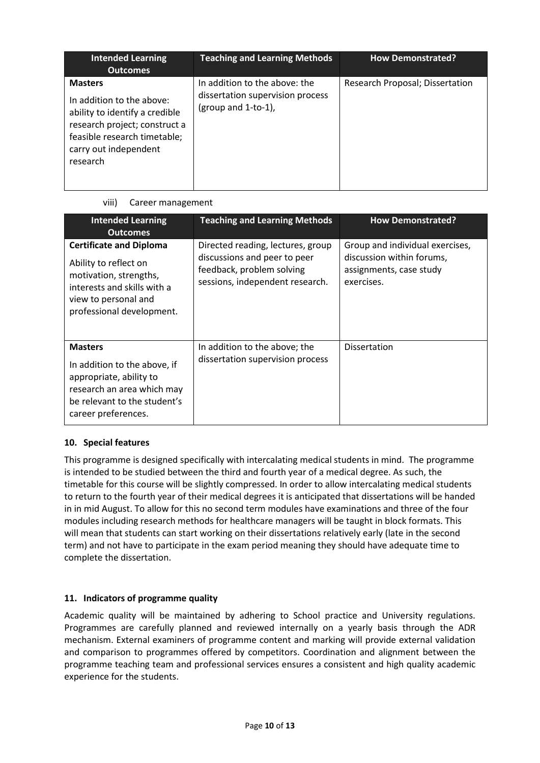| <b>Intended Learning</b><br><b>Outcomes</b>                                                                                                                                         | <b>Teaching and Learning Methods</b>                                                        | <b>How Demonstrated?</b>        |
|-------------------------------------------------------------------------------------------------------------------------------------------------------------------------------------|---------------------------------------------------------------------------------------------|---------------------------------|
| <b>Masters</b><br>In addition to the above:<br>ability to identify a credible<br>research project; construct a<br>feasible research timetable;<br>carry out independent<br>research | In addition to the above: the<br>dissertation supervision process<br>(group and $1$ -to-1), | Research Proposal; Dissertation |

### viii) Career management

| <b>Intended Learning</b><br><b>Outcomes</b>                                                                                                                           | <b>Teaching and Learning Methods</b>                                                                                              | <b>How Demonstrated?</b>                                                                              |
|-----------------------------------------------------------------------------------------------------------------------------------------------------------------------|-----------------------------------------------------------------------------------------------------------------------------------|-------------------------------------------------------------------------------------------------------|
| <b>Certificate and Diploma</b><br>Ability to reflect on<br>motivation, strengths,<br>interests and skills with a<br>view to personal and<br>professional development. | Directed reading, lectures, group<br>discussions and peer to peer<br>feedback, problem solving<br>sessions, independent research. | Group and individual exercises,<br>discussion within forums,<br>assignments, case study<br>exercises. |
| <b>Masters</b><br>In addition to the above, if<br>appropriate, ability to<br>research an area which may<br>be relevant to the student's<br>career preferences.        | In addition to the above; the<br>dissertation supervision process                                                                 | <b>Dissertation</b>                                                                                   |

### **10. Special features**

This programme is designed specifically with intercalating medical students in mind. The programme is intended to be studied between the third and fourth year of a medical degree. As such, the timetable for this course will be slightly compressed. In order to allow intercalating medical students to return to the fourth year of their medical degrees it is anticipated that dissertations will be handed in in mid August. To allow for this no second term modules have examinations and three of the four modules including research methods for healthcare managers will be taught in block formats. This will mean that students can start working on their dissertations relatively early (late in the second term) and not have to participate in the exam period meaning they should have adequate time to complete the dissertation.

### **11. Indicators of programme quality**

Academic quality will be maintained by adhering to School practice and University regulations. Programmes are carefully planned and reviewed internally on a yearly basis through the ADR mechanism. External examiners of programme content and marking will provide external validation and comparison to programmes offered by competitors. Coordination and alignment between the programme teaching team and professional services ensures a consistent and high quality academic experience for the students.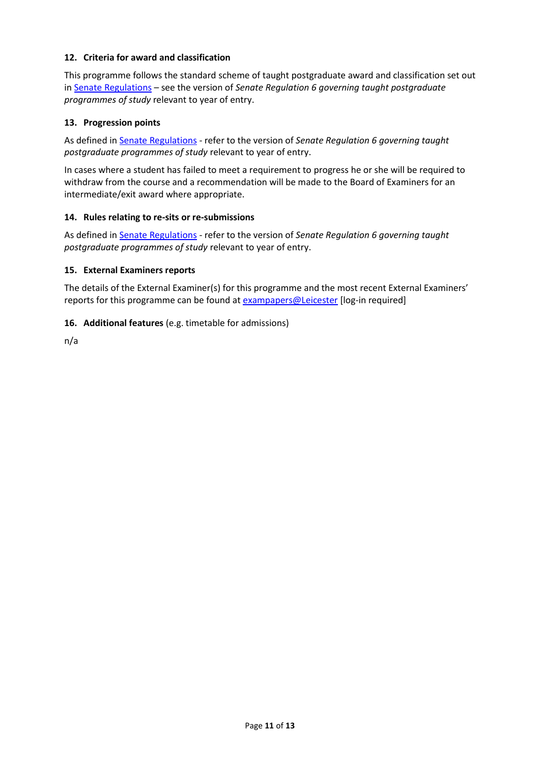### **12. Criteria for award and classification**

This programme follows the standard scheme of taught postgraduate award and classification set out i[n Senate Regulations](http://www.le.ac.uk/senate-regulations) – see the version of *Senate Regulation 6 governing taught postgraduate programmes of study* relevant to year of entry.

### **13. Progression points**

As defined i[n Senate Regulations](http://www.le.ac.uk/senate-regulation6) - refer to the version of *Senate Regulation 6 governing taught postgraduate programmes of study* relevant to year of entry.

In cases where a student has failed to meet a requirement to progress he or she will be required to withdraw from the course and a recommendation will be made to the Board of Examiners for an intermediate/exit award where appropriate.

### **14. Rules relating to re-sits or re-submissions**

As defined i[n Senate Regulations](http://www.le.ac.uk/senate-regulation6) - refer to the version of *Senate Regulation 6 governing taught postgraduate programmes of study* relevant to year of entry.

#### **15. External Examiners reports**

The details of the External Examiner(s) for this programme and the most recent External Examiners' reports for this programme can be found at [exampapers@Leicester](https://exampapers.le.ac.uk/) [log-in required]

### **16. Additional features** (e.g. timetable for admissions)

n/a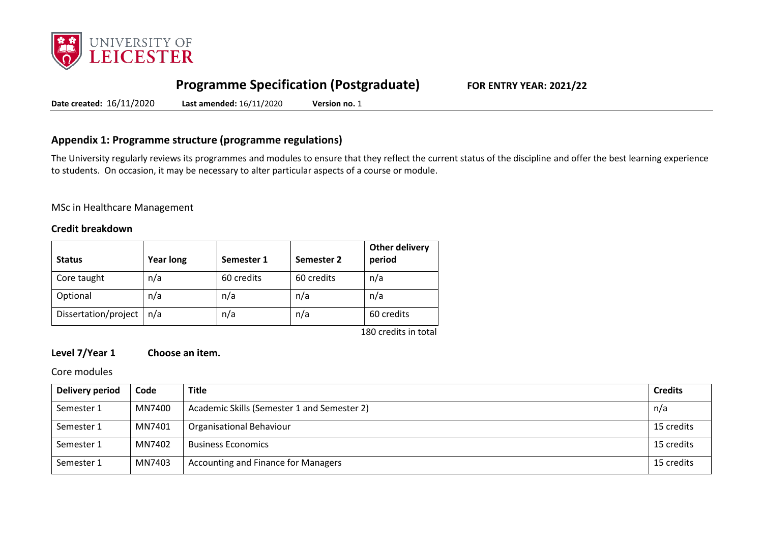

# **Programme Specification (Postgraduate) FOR ENTRY YEAR: 2021/22**

**Date created:** 16/11/2020 **Last amended:** 16/11/2020 **Version no.** 1

### **Appendix 1: Programme structure (programme regulations)**

The University regularly reviews its programmes and modules to ensure that they reflect the current status of the discipline and offer the best learning experience to students. On occasion, it may be necessary to alter particular aspects of a course or module.

MSc in Healthcare Management

### **Credit breakdown**

| <b>Status</b>        | <b>Year long</b> | Semester 1 | Semester 2 | <b>Other delivery</b><br>period |
|----------------------|------------------|------------|------------|---------------------------------|
| Core taught          | n/a              | 60 credits | 60 credits | n/a                             |
| Optional             | n/a              | n/a        | n/a        | n/a                             |
| Dissertation/project | n/a              | n/a        | n/a        | 60 credits                      |

180 credits in total

### **Level 7/Year 1 Choose an item.**

Core modules

| Delivery period | Code   | <b>Title</b>                                | <b>Credits</b> |
|-----------------|--------|---------------------------------------------|----------------|
| Semester 1      | MN7400 | Academic Skills (Semester 1 and Semester 2) | n/a            |
| Semester 1      | MN7401 | Organisational Behaviour                    | 15 credits     |
| Semester 1      | MN7402 | <b>Business Economics</b>                   | 15 credits     |
| Semester 1      | MN7403 | Accounting and Finance for Managers         | 15 credits     |